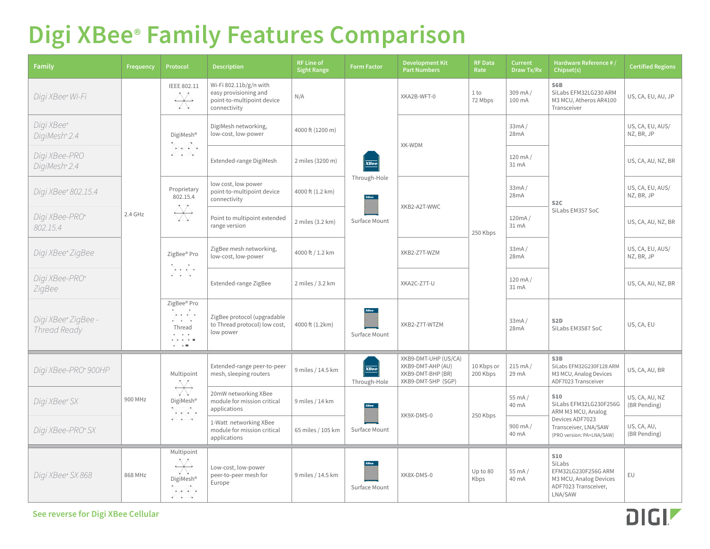# **Digi XBee® Family Features Comparison**

| <b>Family</b>                       | Frequency | Protocol                                                                                                                                                                          | <b>Description</b>                                                                            | <b>RF Line of</b><br><b>Sight Range</b> | <b>Form Factor</b>                           | <b>Development Kit</b><br><b>Part Numbers</b>                                        | <b>RF Data</b><br>Rate | <b>Current</b><br>Draw Tx/Rx | Hardware Reference #<br>Chipset(s)                                                                                                 | <b>Certified Regions</b>       |
|-------------------------------------|-----------|-----------------------------------------------------------------------------------------------------------------------------------------------------------------------------------|-----------------------------------------------------------------------------------------------|-----------------------------------------|----------------------------------------------|--------------------------------------------------------------------------------------|------------------------|------------------------------|------------------------------------------------------------------------------------------------------------------------------------|--------------------------------|
| Digi XBee® Wi-Fi                    | 2.4 GHz   | IEEE 802.11<br>大门大<br>$\longleftrightarrow$<br>V.N                                                                                                                                | Wi-Fi 802.11b/g/n with<br>easy provisioning and<br>point-to-multipoint device<br>connectivity | N/A                                     |                                              | XKA2B-WFT-0                                                                          | 1 to<br>72 Mbps        | $309$ mA $/$<br>100 mA       | S6B<br>SiLabs EFM32LG230 ARM<br>M3 MCU, Atheros AR4100<br>Transceiver                                                              | US, CA, EU, AU, JP             |
| Digi XBee®<br>DigiMesh® 2.4         |           | DigiMesh <sup>®</sup><br>$\mathcal{L}$<br>$\mathcal{L}^{\text{max}}$ , and $\mathcal{L}^{\text{max}}$                                                                             | DigiMesh networking,<br>low-cost, low-power                                                   | 4000 ft (1200 m)                        | <b>XBee</b><br>Through-Hole<br>Surface Mount | XK-WDM                                                                               | 250 Kbps               | 33mA/<br>28mA                | S <sub>2</sub> C<br>SiLabs EM357 SoC                                                                                               | US, CA, EU, AUS/<br>NZ, BR, JP |
| Digi XBee-PRO<br>DigiMesh® 2.4      |           |                                                                                                                                                                                   | Extended-range DigiMesh                                                                       | 2 miles (3200 m)                        |                                              |                                                                                      |                        | 120 mA/<br>31 mA             |                                                                                                                                    | US, CA, AU, NZ, BR             |
| Digi XBee® 802.15.4                 |           | Proprietary<br>802.15.4<br>大门大<br>$\overline{\phantom{a}}$<br>V.V                                                                                                                 | low cost, low power<br>point-to-multipoint device<br>connectivity                             | 4000 ft (1.2 km)                        |                                              | XKB2-A2T-WWC                                                                         |                        | 33mA/<br>28mA                |                                                                                                                                    | US, CA, EU, AUS/<br>NZ, BR, JP |
| Digi XBee-PRO®<br>802.15.4          |           |                                                                                                                                                                                   | Point to multipoint extended<br>range version                                                 | 2 miles (3.2 km)                        |                                              |                                                                                      |                        | 120mA/<br>31 mA              |                                                                                                                                    | US, CA, AU, NZ, BR             |
| Digi XBee® ZigBee                   |           | ZigBee® Pro<br>المحاسبة<br>and the project                                                                                                                                        | ZigBee mesh networking,<br>low-cost, low-power                                                | 4000 ft / 1.2 km                        |                                              | XKB2-Z7T-WZM                                                                         |                        | 33mA/<br>28mA                |                                                                                                                                    | US, CA, EU, AUS/<br>NZ, BR, JP |
| Digi XBee-PRO®<br>ZigBee            |           |                                                                                                                                                                                   | Extended-range ZigBee                                                                         | 2 miles / 3.2 km                        |                                              | XKA2C-Z7T-U                                                                          |                        | $120 \text{ mA}$<br>31 mA    |                                                                                                                                    | US, CA, AU, NZ, BR             |
| Digi XBee® ZigBee -<br>Thread Ready |           | ZigBee® Pro<br>وأكرسوا<br>$\mathcal{L} = \mathcal{L} \times \mathcal{L}$<br>Thread<br>$\mathbf{e} = \mathbf{e}_1 \cdot \mathbf{e}_2$<br>⊞ کالمنهای ک<br>$\epsilon$ , $\epsilon$ . | ZigBee protocol (upgradable<br>to Thread protocol) low cost,<br>low power                     | 4000 ft (1.2km)                         | Surface Mount                                | XKB2-Z7T-WTZM                                                                        |                        | 33mA/<br>28mA                | S <sub>2</sub> D<br>SiLabs EM3587 SoC                                                                                              | US, CA, EU                     |
| Digi XBee-PRO® 900HP                | 900 MHz   | Multipoint<br>卒<br>VW.<br>DigiMesh®<br>$\sim$ .                                                                                                                                   | Extended-range peer-to-peer<br>mesh, sleeping routers                                         | 9 miles / 14.5 km                       | $\overline{\mathbf{XBee}}$<br>Through-Hole   | XKB9-DMT-UHP (US/CA)<br>XKB9-DMT-AHP (AU)<br>XKB9-DMT-BHP (BR)<br>XKB9-DMT-SHP (SGP) | 10 Kbps or<br>200 Kbps | $215 \text{ mA}$<br>29 mA    | S3B<br>SiLabs EFM32G230F128 ARM<br>M3 MCU, Analog Devices<br>ADF7023 Transceiver                                                   | US, CA, AU, BR                 |
| Digi XBee® SX                       |           |                                                                                                                                                                                   | 20mW networking XBee<br>module for mission critical<br>applications                           | 9 miles / 14 km                         | Surface Mount                                | XK9X-DMS-0                                                                           | 250 Kbps               | 55 mA/<br>40 mA              | <b>S10</b><br>SiLabs EFM32LG230F256G<br>ARM M3 MCU, Analog<br>Devices ADF7023<br>Transceiver, LNA/SAW<br>(PRO version: PA+LNA/SAW) | US, CA, AU, NZ<br>(BR Pending) |
| Digi XBee-PRO® SX                   |           |                                                                                                                                                                                   | 1-Watt networking XBee<br>module for mission critical<br>applications                         | 65 miles / 105 km                       |                                              |                                                                                      |                        | 900 mA/<br>40 mA             |                                                                                                                                    | US, CA, AU,<br>(BR Pending)    |
| Digi XBee® SX 868                   | 868 MHz   | Multipoint<br>大门大<br>$\longleftrightarrow$<br>VI V<br>DigiMesh®<br>$\begin{array}{cccccccccc} \bullet & \bullet & \bullet & \bullet & \bullet & \bullet & \bullet \end{array}$    | Low-cost, low-power<br>peer-to-peer mesh for<br>Europe                                        | 9 miles / 14.5 km                       | Surface Mount                                | XK8X-DMS-0                                                                           | Up to 80<br>Kbps       | 55 mA/<br>40 mA              | <b>S10</b><br>SiLabs<br>EFM32LG230F256G ARM<br>M3 MCU, Analog Devices<br>ADF7023 Transceiver,<br>LNA/SAW                           | EU                             |